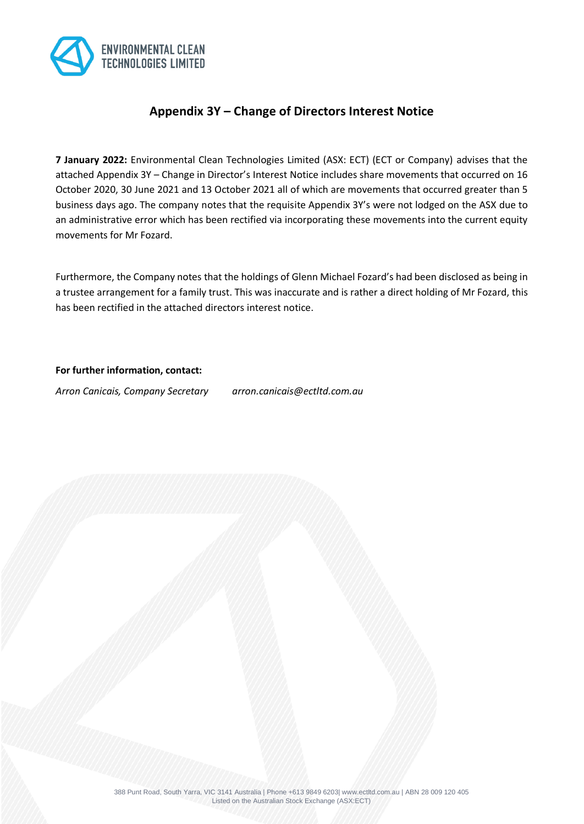

# **Appendix 3Y – Change of Directors Interest Notice**

**7 January 2022:** Environmental Clean Technologies Limited (ASX: ECT) (ECT or Company) advises that the attached Appendix 3Y – Change in Director's Interest Notice includes share movements that occurred on 16 October 2020, 30 June 2021 and 13 October 2021 all of which are movements that occurred greater than 5 business days ago. The company notes that the requisite Appendix 3Y's were not lodged on the ASX due to an administrative error which has been rectified via incorporating these movements into the current equity movements for Mr Fozard.

Furthermore, the Company notes that the holdings of Glenn Michael Fozard's had been disclosed as being in a trustee arrangement for a family trust. This was inaccurate and is rather a direct holding of Mr Fozard, this has been rectified in the attached directors interest notice.

### **For further information, contact:**

*Arron Canicais, Company Secretary arron.canicais@ectltd.com.au*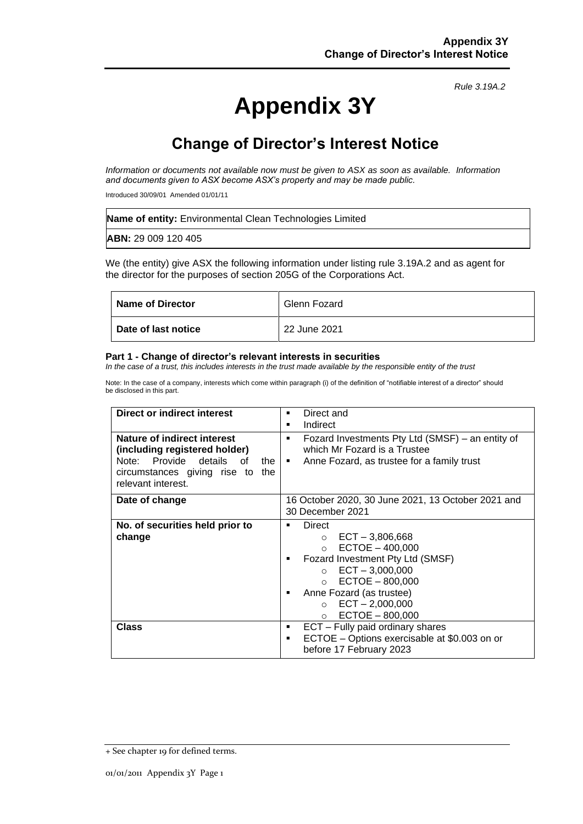# **Appendix 3Y**

*Rule 3.19A.2*

# **Change of Director's Interest Notice**

*Information or documents not available now must be given to ASX as soon as available. Information and documents given to ASX become ASX's property and may be made public.*

Introduced 30/09/01 Amended 01/01/11

| <b>Name of entity:</b> Environmental Clean Technologies Limited |
|-----------------------------------------------------------------|
| <b>ABN: 29 009 120 405</b>                                      |

We (the entity) give ASX the following information under listing rule 3.19A.2 and as agent for the director for the purposes of section 205G of the Corporations Act.

| <b>Name of Director</b> | Glenn Fozard |
|-------------------------|--------------|
| Date of last notice     | 22 June 2021 |

#### **Part 1 - Change of director's relevant interests in securities**

*In the case of a trust, this includes interests in the trust made available by the responsible entity of the trust*

Note: In the case of a company, interests which come within paragraph (i) of the definition of "notifiable interest of a director" should be disclosed in this part.

| Direct or indirect interest<br>Nature of indirect interest                                                                    | Direct and<br>٠<br>Indirect<br>٠<br>Fozard Investments Pty Ltd (SMSF) – an entity of<br>٠                                                                                                                                                               |  |
|-------------------------------------------------------------------------------------------------------------------------------|---------------------------------------------------------------------------------------------------------------------------------------------------------------------------------------------------------------------------------------------------------|--|
| (including registered holder)<br>Note: Provide details<br>of<br>the<br>circumstances giving rise to the<br>relevant interest. | which Mr Fozard is a Trustee<br>Anne Fozard, as trustee for a family trust<br>$\blacksquare$ .                                                                                                                                                          |  |
| Date of change                                                                                                                | 16 October 2020, 30 June 2021, 13 October 2021 and<br>30 December 2021                                                                                                                                                                                  |  |
| No. of securities held prior to<br>change                                                                                     | Direct<br>$\circ$ ECT - 3,806,668<br>$ECTOE - 400,000$<br>$\circ$<br>Fozard Investment Pty Ltd (SMSF)<br>$\circ$ ECT - 3,000,000<br>$\circ$ ECTOE - 800,000<br>Anne Fozard (as trustee)<br>$ECT - 2,000,000$<br>$\circ$<br>$ECTOE - 800,000$<br>$\circ$ |  |
| Class                                                                                                                         | ECT - Fully paid ordinary shares<br>٠<br>ECTOE - Options exercisable at \$0.003 on or<br>٠<br>before 17 February 2023                                                                                                                                   |  |

<sup>+</sup> See chapter 19 for defined terms.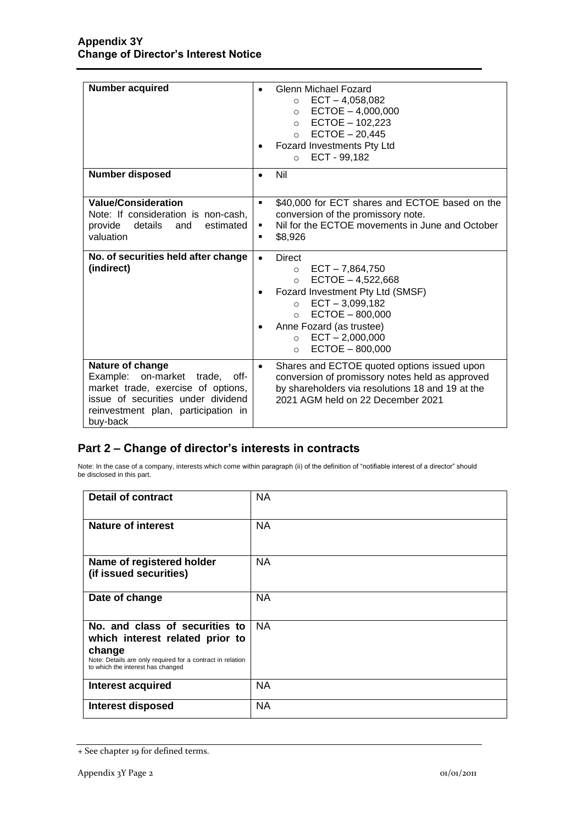| <b>Number acquired</b><br><b>Number disposed</b>                                                                                                                                  | Glenn Michael Fozard<br>$ECT - 4,058,082$<br>$\circ$<br>$ECTOE - 4,000,000$<br>$\circ$<br>$ECTOE - 102,223$<br>$\circ$<br>$ECTOE - 20,445$<br>$\circ$<br>Fozard Investments Pty Ltd<br>ECT - 99,182<br>$\circ$<br>Nil<br>$\bullet$                                                       |
|-----------------------------------------------------------------------------------------------------------------------------------------------------------------------------------|------------------------------------------------------------------------------------------------------------------------------------------------------------------------------------------------------------------------------------------------------------------------------------------|
| <b>Value/Consideration</b><br>Note: If consideration is non-cash.<br>provide<br>details<br>estimated<br>and<br>valuation                                                          | \$40,000 for ECT shares and ECTOE based on the<br>٠<br>conversion of the promissory note.<br>Nil for the ECTOE movements in June and October<br>٠<br>\$8,926<br>٠                                                                                                                        |
| No. of securities held after change<br>(indirect)                                                                                                                                 | Direct<br>$\bullet$<br>$ECT - 7,864,750$<br>$\circ$<br>$ECTOE - 4,522,668$<br>$\circ$<br>Fozard Investment Pty Ltd (SMSF)<br>$ECT - 3,099,182$<br>$\Omega$<br>$ECTOE - 800,000$<br>$\Omega$<br>Anne Fozard (as trustee)<br>$ECT - 2,000,000$<br>$\circ$<br>$ECTOE - 800,000$<br>$\Omega$ |
| Nature of change<br>Example: on-market trade, off-<br>market trade, exercise of options,<br>issue of securities under dividend<br>reinvestment plan, participation in<br>buy-back | Shares and ECTOE quoted options issued upon<br>$\bullet$<br>conversion of promissory notes held as approved<br>by shareholders via resolutions 18 and 19 at the<br>2021 AGM held on 22 December 2021                                                                                     |

## **Part 2 – Change of director's interests in contracts**

Note: In the case of a company, interests which come within paragraph (ii) of the definition of "notifiable interest of a director" should be disclosed in this part.

| <b>Detail of contract</b>                                                                                                                                                      | <b>NA</b> |
|--------------------------------------------------------------------------------------------------------------------------------------------------------------------------------|-----------|
| Nature of interest                                                                                                                                                             | <b>NA</b> |
| Name of registered holder<br>(if issued securities)                                                                                                                            | <b>NA</b> |
| Date of change                                                                                                                                                                 | <b>NA</b> |
| No. and class of securities to<br>which interest related prior to<br>change<br>Note: Details are only required for a contract in relation<br>to which the interest has changed | <b>NA</b> |
| <b>Interest acquired</b>                                                                                                                                                       | <b>NA</b> |
| <b>Interest disposed</b>                                                                                                                                                       | <b>NA</b> |

<sup>+</sup> See chapter 19 for defined terms.